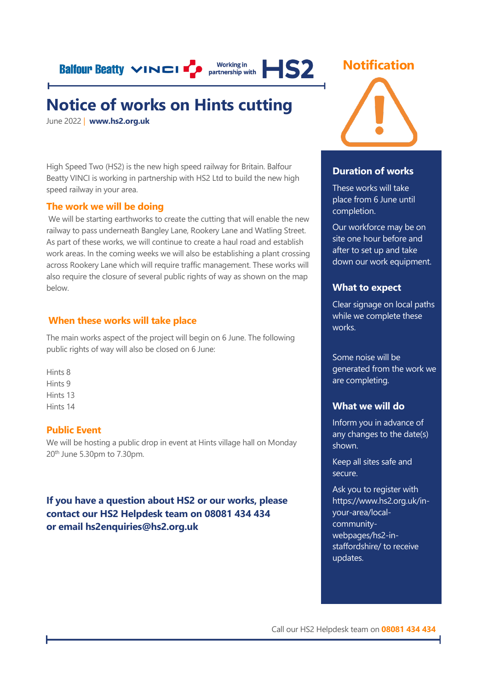**Balfour Beatty VINCI P** partnership with **HS2** 

## **Notice of works on Hints cutting**

June 2022 | **[www.hs2.org.uk](http://www.hs2.org.uk/)**

High Speed Two (HS2) is the new high speed railway for Britain. Balfour Beatty VINCI is working in partnership with HS2 Ltd to build the new high speed railway in your area.

#### **The work we will be doing**

We will be starting earthworks to create the cutting that will enable the new railway to pass underneath Bangley Lane, Rookery Lane and Watling Street. As part of these works, we will continue to create a haul road and establish work areas. In the coming weeks we will also be establishing a plant crossing across Rookery Lane which will require traffic management. These works will also require the closure of several public rights of way as shown on the map below.

#### **When these works will take place**

The main works aspect of the project will begin on 6 June. The following public rights of way will also be closed on 6 June:

Hints 8 Hints 9 Hints 13 Hints 14

#### **Public Event**

We will be hosting a public drop in event at Hints village hall on Monday 20th June 5.30pm to 7.30pm.

#### **If you have a question about HS2 or our works, please contact our HS2 Helpdesk team on 08081 434 434 or email hs2enquiries@hs2.org.uk**





#### **Duration of works**

These works will take place from 6 June until completion.

Our workforce may be on site one hour before and after to set up and take down our work equipment.

#### **What to expect**

Clear signage on local paths while we complete these works.

Some noise will be generated from the work we are completing.

#### **What we will do**

Inform you in advance of any changes to the date(s) shown.

Keep all sites safe and secure.

Ask you to register with [https://www.hs2.org.uk/in](https://www.hs2.org.uk/in-your-area/local-community-webpages/hs2-in-staffordshire/)[your-area/local](https://www.hs2.org.uk/in-your-area/local-community-webpages/hs2-in-staffordshire/)[community](https://www.hs2.org.uk/in-your-area/local-community-webpages/hs2-in-staffordshire/)[webpages/hs2-in](https://www.hs2.org.uk/in-your-area/local-community-webpages/hs2-in-staffordshire/)[staffordshire/](https://www.hs2.org.uk/in-your-area/local-community-webpages/hs2-in-staffordshire/) to receive updates.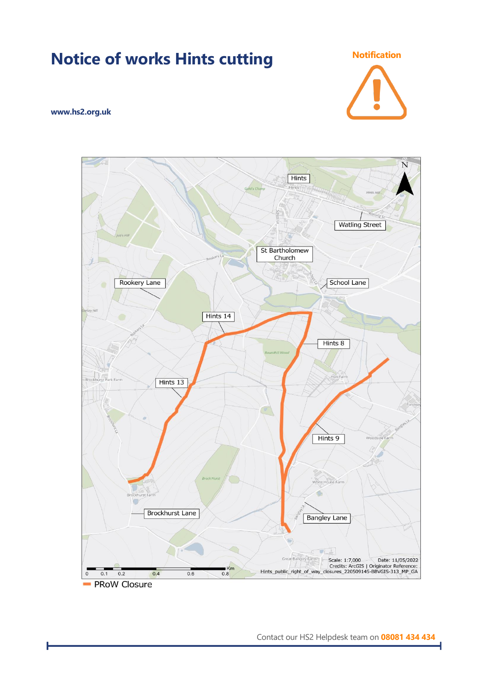

**Notice of works Hints cutting Notification** 

- PRoW Closure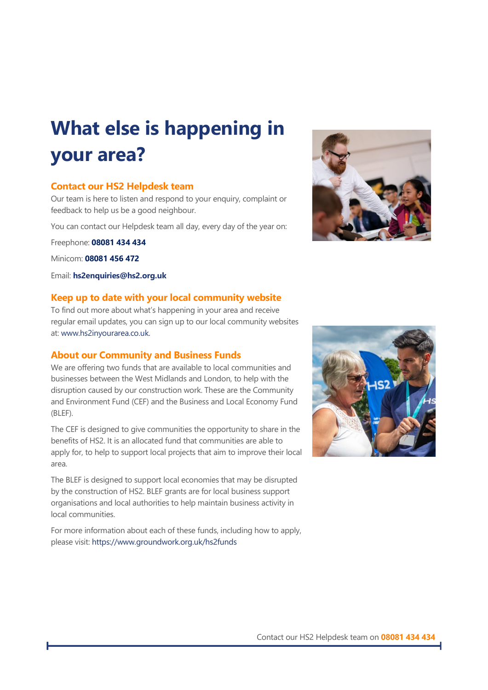#### **Location of traffic management** The map below outlines the location of the closure and accompanying diversion. **your area? What else is happening in**

#### **Contact our HS2 Helpdesk team**

Our team is here to listen and respond to your enquiry, complaint or feedback to help us be a good neighbour.

You can contact our Helpdesk team all day, every day of the year on:

Minicom: **08081 456 472** Freephone: **08081 434 434**

**Minicom: <b>08081 456 472** 

**Keep up to date with your local community website**  Email: **[hs2enquiries@hs2.org.uk](mailto:hs2enquiries@hs2.org.uk)**

#### **Keep up to date with your local community website**

To find out more about what's happening in your area and receive re[gular email updates, you ca](http://www.hs2inyourarea.co.uk/)n sign up to our local community websites **About our Community and Business Funds** at[: www.hs2inyourarea.co.uk.](http://www.hs2inyourarea.co.uk/)

#### **About our Community and Business Funds**

We are offering two funds that are available to local communities and businesses between the West Midlands and London, to help with the disruption caused by our construction work. These are the Community and Environment Fund (CEF) and the Business and Local Economy Fund  $D$ (BLEF).

The CEF is designed to give communities the opportunity to share in the benefits of HS2. It is an allocated fund that communities are able to apply for, to help to support local projects that aim to improve their local  $T$ e BLEF is designed to support local economies that may be disrupted to support local economies that may be disrupted to  $T$ area.

The BLEF is designed to support local economies that may be disrupted by the construction of HS2. BLEF grants are for local business support organisations and local authorities to help maintain business activity in local communities.

For more information about each of these funds, including how to apply, please visit:<https://www.groundwork.org.uk/hs2funds>